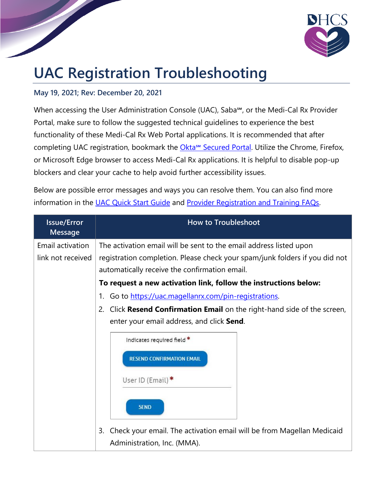

## **UAC Registration Troubleshooting**

## **May 19, 2021; Rev: December 20, 2021**

When accessing the User Administration Console (UAC), Saba<sup>5M</sup>, or the Medi-Cal Rx Provider Portal, make sure to follow the suggested technical guidelines to experience the best functionality of these Medi-Cal Rx Web Portal applications. It is recommended that after completing UAC registration, bookmark the Okta<sup>™</sup> [Secured Portal.](https://magellanhealthsso.okta.com/) Utilize the Chrome, Firefox, or Microsoft Edge browser to access Medi-Cal Rx applications. It is helpful to disable pop-up blockers and clear your cache to help avoid further accessibility issues.

Below are possible error messages and ways you can resolve them. You can also find more information in the [UAC Quick Start Guide](https://medi-calrx.dhcs.ca.gov/cms/medicalrx/static-assets/documents/education-and-outreach/2020.10_EOT_Medi-Cal_Rx_New_Registration_Quick_Start_Job_Aid_v1.1_10.21.2020.pdf) and [Provider Registration and Training FAQs.](https://medi-calrx.dhcs.ca.gov/cms/medicalrx/static-assets/documents/provider/bulletins/2021.02_B_Medi-Cal_Rx_Provider_Registration_and_Training_FAQs.pdf)

| <b>Issue/Error</b><br><b>Message</b>  | <b>How to Troubleshoot</b>                                                                                                                                                                                     |
|---------------------------------------|----------------------------------------------------------------------------------------------------------------------------------------------------------------------------------------------------------------|
| Email activation<br>link not received | The activation email will be sent to the email address listed upon<br>registration completion. Please check your spam/junk folders if you did not                                                              |
|                                       | automatically receive the confirmation email.<br>To request a new activation link, follow the instructions below:                                                                                              |
|                                       | 1. Go to https://uac.magellanrx.com/pin-registrations.                                                                                                                                                         |
|                                       | 2. Click Resend Confirmation Email on the right-hand side of the screen,<br>enter your email address, and click Send.<br>Indicates required field *<br><b>RESEND CONFIRMATION EMAIL</b><br>User ID (Email) $*$ |
|                                       | <b>SEND</b><br>Check your email. The activation email will be from Magellan Medicaid<br>3.<br>Administration, Inc. (MMA).                                                                                      |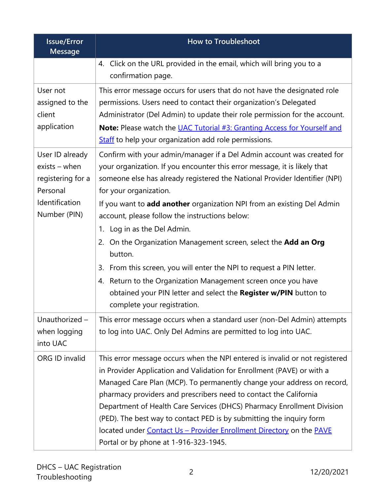| <b>Issue/Error</b><br><b>Message</b>                                | <b>How to Troubleshoot</b>                                                                                                                                                                                                                                                                                                                                                                                                                                                                                                                                              |
|---------------------------------------------------------------------|-------------------------------------------------------------------------------------------------------------------------------------------------------------------------------------------------------------------------------------------------------------------------------------------------------------------------------------------------------------------------------------------------------------------------------------------------------------------------------------------------------------------------------------------------------------------------|
|                                                                     | 4. Click on the URL provided in the email, which will bring you to a<br>confirmation page.                                                                                                                                                                                                                                                                                                                                                                                                                                                                              |
| User not<br>assigned to the<br>client<br>application                | This error message occurs for users that do not have the designated role<br>permissions. Users need to contact their organization's Delegated<br>Administrator (Del Admin) to update their role permission for the account.                                                                                                                                                                                                                                                                                                                                             |
|                                                                     | <b>Note:</b> Please watch the UAC Tutorial #3: Granting Access for Yourself and<br><b>Staff</b> to help your organization add role permissions.                                                                                                                                                                                                                                                                                                                                                                                                                         |
| User ID already<br>$exists$ – when<br>registering for a<br>Personal | Confirm with your admin/manager if a Del Admin account was created for<br>your organization. If you encounter this error message, it is likely that<br>someone else has already registered the National Provider Identifier (NPI)<br>for your organization.                                                                                                                                                                                                                                                                                                             |
| Identification<br>Number (PIN)                                      | If you want to add another organization NPI from an existing Del Admin<br>account, please follow the instructions below:<br>1. Log in as the Del Admin.<br>On the Organization Management screen, select the <b>Add an Org</b><br>2.<br>button.<br>From this screen, you will enter the NPI to request a PIN letter.<br>3.<br>4. Return to the Organization Management screen once you have<br>obtained your PIN letter and select the Register w/PIN button to                                                                                                         |
| Unauthorized -<br>when logging<br>into UAC                          | complete your registration.<br>This error message occurs when a standard user (non-Del Admin) attempts<br>to log into UAC. Only Del Admins are permitted to log into UAC.                                                                                                                                                                                                                                                                                                                                                                                               |
| ORG ID invalid                                                      | This error message occurs when the NPI entered is invalid or not registered<br>in Provider Application and Validation for Enrollment (PAVE) or with a<br>Managed Care Plan (MCP). To permanently change your address on record,<br>pharmacy providers and prescribers need to contact the California<br>Department of Health Care Services (DHCS) Pharmacy Enrollment Division<br>(PED). The best way to contact PED is by submitting the inquiry form<br>located under Contact Us - Provider Enrollment Directory on the PAVE<br>Portal or by phone at 1-916-323-1945. |